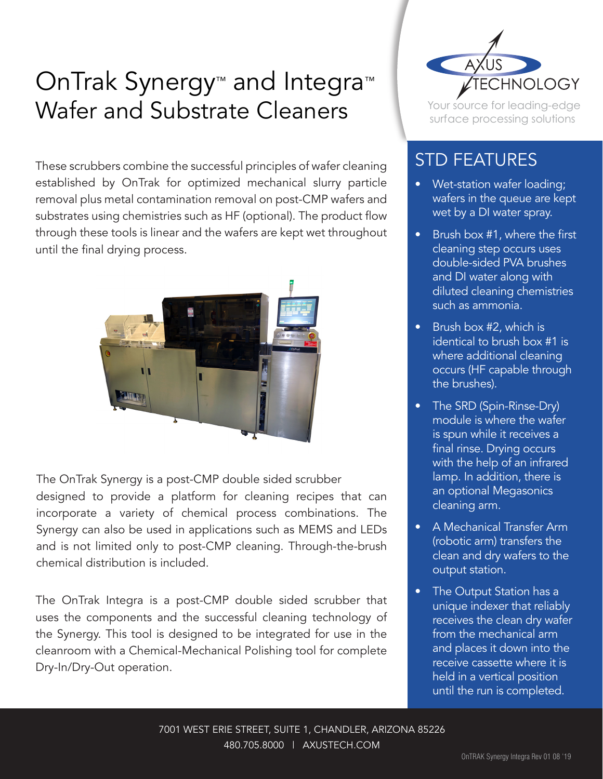## OnTrak Synergy<sup>™</sup> and Integra<sup>™</sup> Wafer and Substrate Cleaners

These scrubbers combine the successful principles of wafer cleaning established by OnTrak for optimized mechanical slurry particle removal plus metal contamination removal on post-CMP wafers and substrates using chemistries such as HF (optional). The product flow through these tools is linear and the wafers are kept wet throughout until the final drying process.



The OnTrak Synergy is a post-CMP double sided scrubber designed to provide a platform for cleaning recipes that can incorporate a variety of chemical process combinations. The Synergy can also be used in applications such as MEMS and LEDs and is not limited only to post-CMP cleaning. Through-the-brush chemical distribution is included.

The OnTrak Integra is a post-CMP double sided scrubber that uses the components and the successful cleaning technology of the Synergy. This tool is designed to be integrated for use in the cleanroom with a Chemical-Mechanical Polishing tool for complete Dry-In/Dry-Out operation.



Your source for leading-edge surface processing solutions

## STD FEATURES

- Wet-station wafer loading; wafers in the queue are kept wet by a DI water spray.
- Brush box #1, where the first cleaning step occurs uses double-sided PVA brushes and DI water along with diluted cleaning chemistries such as ammonia.
- Brush box #2, which is identical to brush box #1 is where additional cleaning occurs (HF capable through the brushes).
- The SRD (Spin-Rinse-Dry) module is where the wafer is spun while it receives a final rinse. Drying occurs with the help of an infrared lamp. In addition, there is an optional Megasonics cleaning arm.
- A Mechanical Transfer Arm (robotic arm) transfers the clean and dry wafers to the output station.
- The Output Station has a unique indexer that reliably receives the clean dry wafer from the mechanical arm and places it down into the receive cassette where it is held in a vertical position until the run is completed.